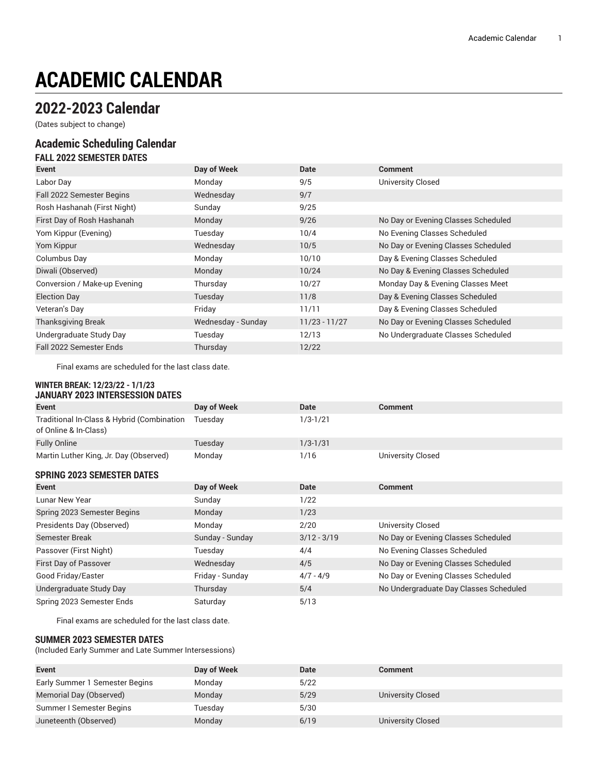# **ACADEMIC CALENDAR**

## **2022-2023 Calendar**

(Dates subject to change)

#### **Academic Scheduling Calendar FALL 2022 SEMESTER DATES**

| FALL ZUZZ SEMESTEK DATES     |                    |                 |                                     |
|------------------------------|--------------------|-----------------|-------------------------------------|
| Event                        | Day of Week        | <b>Date</b>     | <b>Comment</b>                      |
| Labor Day                    | Monday             | 9/5             | <b>University Closed</b>            |
| Fall 2022 Semester Begins    | Wednesday          | 9/7             |                                     |
| Rosh Hashanah (First Night)  | Sunday             | 9/25            |                                     |
| First Day of Rosh Hashanah   | Monday             | 9/26            | No Day or Evening Classes Scheduled |
| Yom Kippur (Evening)         | Tuesday            | 10/4            | No Evening Classes Scheduled        |
| Yom Kippur                   | Wednesday          | 10/5            | No Day or Evening Classes Scheduled |
| Columbus Day                 | Monday             | 10/10           | Day & Evening Classes Scheduled     |
| Diwali (Observed)            | Monday             | 10/24           | No Day & Evening Classes Scheduled  |
| Conversion / Make-up Evening | Thursday           | 10/27           | Monday Day & Evening Classes Meet   |
| <b>Election Day</b>          | Tuesday            | 11/8            | Day & Evening Classes Scheduled     |
| Veteran's Day                | Friday             | 11/11           | Day & Evening Classes Scheduled     |
| <b>Thanksgiving Break</b>    | Wednesday - Sunday | $11/23 - 11/27$ | No Day or Evening Classes Scheduled |
| Undergraduate Study Day      | Tuesday            | 12/13           | No Undergraduate Classes Scheduled  |
| Fall 2022 Semester Ends      | Thursday           | 12/22           |                                     |

Final exams are scheduled for the last class date.

#### **WINTER BREAK: 12/23/22 - 1/1/23 JANUARY 2023 INTERSESSION DATES**

| UANVANI LULU INILIULUUIVII PAILU                                    |                 |               |                                        |
|---------------------------------------------------------------------|-----------------|---------------|----------------------------------------|
| Event                                                               | Day of Week     | Date          | <b>Comment</b>                         |
| Traditional In-Class & Hybrid (Combination<br>of Online & In-Class) | Tuesday         | $1/3 - 1/21$  |                                        |
| <b>Fully Online</b>                                                 | Tuesday         | $1/3 - 1/31$  |                                        |
| Martin Luther King, Jr. Day (Observed)                              | Monday          | 1/16          | <b>University Closed</b>               |
| <b>SPRING 2023 SEMESTER DATES</b>                                   |                 |               |                                        |
| Event                                                               | Day of Week     | Date          | <b>Comment</b>                         |
| Lunar New Year                                                      | Sunday          | 1/22          |                                        |
| Spring 2023 Semester Begins                                         | Monday          | 1/23          |                                        |
| Presidents Day (Observed)                                           | Monday          | 2/20          | <b>University Closed</b>               |
| Semester Break                                                      | Sunday - Sunday | $3/12 - 3/19$ | No Day or Evening Classes Scheduled    |
| Passover (First Night)                                              | Tuesday         | 4/4           | No Evening Classes Scheduled           |
| First Day of Passover                                               | Wednesday       | 4/5           | No Day or Evening Classes Scheduled    |
| Good Friday/Easter                                                  | Friday - Sunday | $4/7 - 4/9$   | No Day or Evening Classes Scheduled    |
| Undergraduate Study Day                                             | Thursday        | 5/4           | No Undergraduate Day Classes Scheduled |
| Spring 2023 Semester Ends                                           | Saturday        | 5/13          |                                        |

Final exams are scheduled for the last class date.

#### **SUMMER 2023 SEMESTER DATES**

(Included Early Summer and Late Summer Intersessions)

| <b>Event</b>                   | Day of Week | <b>Date</b> | <b>Comment</b>    |
|--------------------------------|-------------|-------------|-------------------|
| Early Summer 1 Semester Begins | Monday      | 5/22        |                   |
| Memorial Day (Observed)        | Monday      | 5/29        | University Closed |
| Summer I Semester Begins       | Tuesday     | 5/30        |                   |
| Juneteenth (Observed)          | Monday      | 6/19        | University Closed |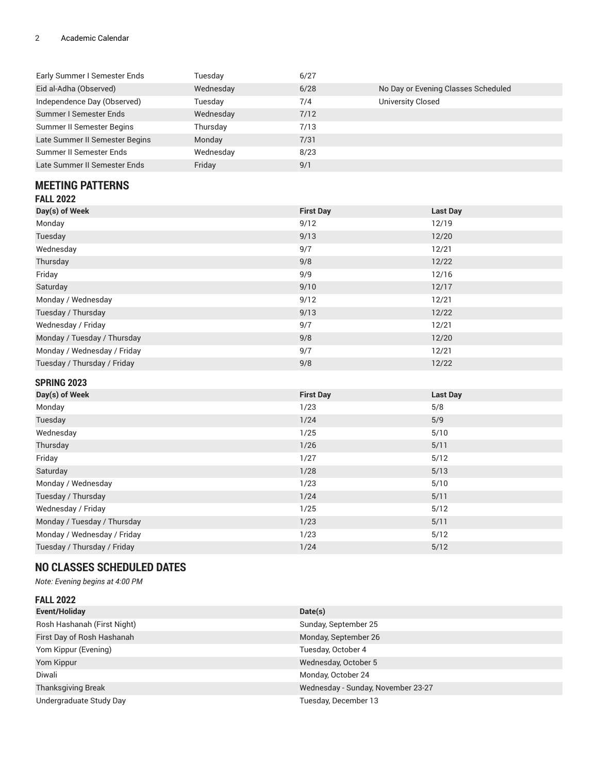#### 2 Academic Calendar

| Early Summer I Semester Ends   | Tuesday   | 6/27 |                                     |
|--------------------------------|-----------|------|-------------------------------------|
| Eid al-Adha (Observed)         | Wednesday | 6/28 | No Day or Evening Classes Scheduled |
| Independence Day (Observed)    | Tuesday   | 7/4  | <b>University Closed</b>            |
| Summer I Semester Ends         | Wednesday | 7/12 |                                     |
| Summer II Semester Begins      | Thursday  | 7/13 |                                     |
| Late Summer II Semester Begins | Monday    | 7/31 |                                     |
| Summer II Semester Ends        | Wednesday | 8/23 |                                     |
| Late Summer II Semester Ends   | Friday    | 9/1  |                                     |

## **MEETING PATTERNS**

| Day(s) of Week              | <b>First Day</b> | <b>Last Day</b> |
|-----------------------------|------------------|-----------------|
| Monday                      | 9/12             | 12/19           |
| Tuesday                     | 9/13             | 12/20           |
| Wednesday                   | 9/7              | 12/21           |
| Thursday                    | 9/8              | 12/22           |
| Friday                      | 9/9              | 12/16           |
| Saturday                    | 9/10             | 12/17           |
| Monday / Wednesday          | 9/12             | 12/21           |
| Tuesday / Thursday          | 9/13             | 12/22           |
| Wednesday / Friday          | 9/7              | 12/21           |
| Monday / Tuesday / Thursday | 9/8              | 12/20           |
| Monday / Wednesday / Friday | 9/7              | 12/21           |
| Tuesday / Thursday / Friday | 9/8              | 12/22           |

### **SPRING 2023**

| Day(s) of Week              | <b>First Day</b> | <b>Last Day</b> |
|-----------------------------|------------------|-----------------|
| Monday                      | 1/23             | 5/8             |
| Tuesday                     | 1/24             | 5/9             |
| Wednesday                   | 1/25             | 5/10            |
| Thursday                    | 1/26             | 5/11            |
| Friday                      | 1/27             | 5/12            |
| Saturday                    | 1/28             | 5/13            |
| Monday / Wednesday          | 1/23             | 5/10            |
| Tuesday / Thursday          | 1/24             | 5/11            |
| Wednesday / Friday          | 1/25             | 5/12            |
| Monday / Tuesday / Thursday | 1/23             | 5/11            |
| Monday / Wednesday / Friday | 1/23             | 5/12            |
| Tuesday / Thursday / Friday | 1/24             | 5/12            |

## **NO CLASSES SCHEDULED DATES**

*Note: Evening begins at 4:00 PM*

| <b>FALL 2022</b>            |                                    |
|-----------------------------|------------------------------------|
| Event/Holiday               | Date(s)                            |
| Rosh Hashanah (First Night) | Sunday, September 25               |
| First Day of Rosh Hashanah  | Monday, September 26               |
| Yom Kippur (Evening)        | Tuesday, October 4                 |
| Yom Kippur                  | Wednesday, October 5               |
| Diwali                      | Monday, October 24                 |
| <b>Thanksgiving Break</b>   | Wednesday - Sunday, November 23-27 |
| Undergraduate Study Day     | Tuesday, December 13               |